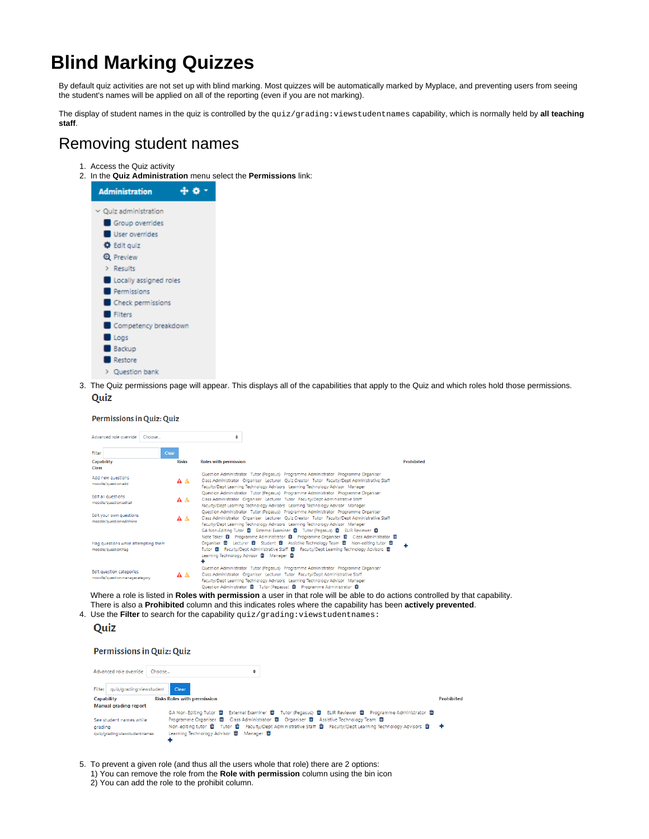# **Blind Marking Quizzes**

By default quiz activities are not set up with blind marking. Most quizzes will be automatically marked by Myplace, and preventing users from seeing the student's names will be applied on all of the reporting (even if you are not marking).

The display of student names in the quiz is controlled by the quiz/grading:viewstudentnames capability, which is normally held by **all teaching staff**.

## Removing student names

- 1. Access the Quiz activity
- 2. In the **Quiz Administration** menu select the **Permissions** link:



3. The Quiz permissions page will appear. This displays all of the capabilities that apply to the Quiz and which roles hold those permissions. Quiz

| <b>Permissions in Quiz: Quiz</b> |  |  |
|----------------------------------|--|--|

|                            | Advanced role override                                     | Choose |              | ÷                                                          |  |                                                                                                                                                                      |                                                                                    |
|----------------------------|------------------------------------------------------------|--------|--------------|------------------------------------------------------------|--|----------------------------------------------------------------------------------------------------------------------------------------------------------------------|------------------------------------------------------------------------------------|
|                            |                                                            |        |              |                                                            |  |                                                                                                                                                                      |                                                                                    |
| Filter                     |                                                            | Clear  |              |                                                            |  |                                                                                                                                                                      |                                                                                    |
| <b>Capability</b><br>Class |                                                            |        | <b>Risks</b> | <b>Roles with permission</b>                               |  |                                                                                                                                                                      | <b>Prohibited</b>                                                                  |
|                            |                                                            |        |              |                                                            |  | Question Administrator Tutor (Pegasus) Programme Administrator Programme Organiser                                                                                   |                                                                                    |
|                            | Add new questions<br>moodle/question:add                   |        | A A          |                                                            |  | Class Administrator Organiser Lecturer Quiz Creator Tutor Faculty/Dept Administrative Staff                                                                          |                                                                                    |
|                            |                                                            |        |              |                                                            |  | Faculty/Dept Learning Technology Advisors Learning Technology Advisor Manager                                                                                        |                                                                                    |
|                            | Edit all questions                                         |        |              |                                                            |  | Question Administrator Tutor (Pegasus) Programme Administrator Programme Organiser<br>Class Administrator Organiser Lecturer Tutor Faculty/Dept Administrative Staff |                                                                                    |
|                            | moodle/question:editall                                    |        | A A          |                                                            |  | Faculty/Dept Learning Technology Advisors Learning Technology Advisor Manager                                                                                        |                                                                                    |
|                            | Edit your own questions                                    |        |              |                                                            |  | Question Administrator Tutor (Pegasus) Programme Administrator Programme Organiser                                                                                   |                                                                                    |
|                            | moodle/auestion:editmine                                   |        | AΔ           |                                                            |  | Class Administrator Organiser Lecturer Quiz Creator Tutor Faculty/Dept Administrative Staff                                                                          |                                                                                    |
|                            |                                                            |        |              |                                                            |  | Faculty/Dept Learning Technology Advisors Learning Technology Advisor Manager<br>GA Non-Editing Tutor 面 External Examiner 面 Tutor (Pegasus) 面 ELIR Reviewer 面        |                                                                                    |
|                            |                                                            |        |              |                                                            |  |                                                                                                                                                                      | Note Taker 面 Programme Administrator 面 Programme Organiser 面 Class Administrator 面 |
|                            | Flag questions while attempting them                       |        |              |                                                            |  | Organiser 面 Lecturer 面 Student 面 Assistive Technology Team 面 Non-editing tutor 面                                                                                     |                                                                                    |
|                            | moodle/question:flag                                       |        |              |                                                            |  | Tutor 面 Faculty/Dept Administrative Staff 面 Faculty/Dept Learning Technology Advisors 面                                                                              |                                                                                    |
|                            |                                                            |        |              | Learning Technology Advisor <b>B</b> Manager <b>B</b><br>٠ |  |                                                                                                                                                                      |                                                                                    |
|                            |                                                            |        |              |                                                            |  | Question Administrator Tutor (Pegasus) Programme Administrator Programme Organiser                                                                                   |                                                                                    |
|                            | Edit question categories<br>moodle/question:managecategory |        | AΔ           |                                                            |  | Class Administrator Organiser Lecturer Tutor Faculty/Dept Administrative Staff                                                                                       |                                                                                    |
|                            |                                                            |        |              |                                                            |  | Faculty/Dept Learning Technology Advisors Learning Technology Advisor Manager<br>Ouestion Administrator 面 Tutor (Pegasus) 面 Programme Administrator 面                |                                                                                    |

Where a role is listed in **Roles with permission** a user in that role will be able to do actions controlled by that capability. There is also a **Prohibited** column and this indicates roles where the capability has been **actively prevented**.

4. Use the **Filter** to search for the capability quiz/grading:viewstudentnames:

#### Quiz

#### Permissions in Quiz: Quiz

| Advanced role override   Choose   | ÷                                                                                                                                             |                   |
|-----------------------------------|-----------------------------------------------------------------------------------------------------------------------------------------------|-------------------|
| Filter   quiz/grading:viewstudent | Clear                                                                                                                                         |                   |
| <b>Capability</b>                 | <b>Risks Roles with permission</b>                                                                                                            | <b>Prohibited</b> |
| <b>Manual grading report</b>      |                                                                                                                                               |                   |
|                                   | GA Non-Editing Tutor 面 External Examiner 面 Tutor (Pegasus) 面 ELIR Reviewer 面 Programme Administrator 面                                        |                   |
| See student names while           | Programme Organiser 面 Class Administrator 面 Organiser 面 Assistive Technology Team 面                                                           |                   |
| grading                           | Non-editing tutor $\hat{I}$ Tutor $\hat{I}$ Faculty/Dept Administrative Staff $\hat{I}$ Faculty/Dept Learning Technology Advisors $\hat{I}$ + |                   |
| quiz/grading:viewstudentnames     | Learning Technology Advisor 10 Manager 10                                                                                                     |                   |
|                                   |                                                                                                                                               |                   |

- 5. To prevent a given role (and thus all the users whole that role) there are 2 options:
	- 1) You can remove the role from the **Role with permission** column using the bin icon
	- 2) You can add the role to the prohibit column.